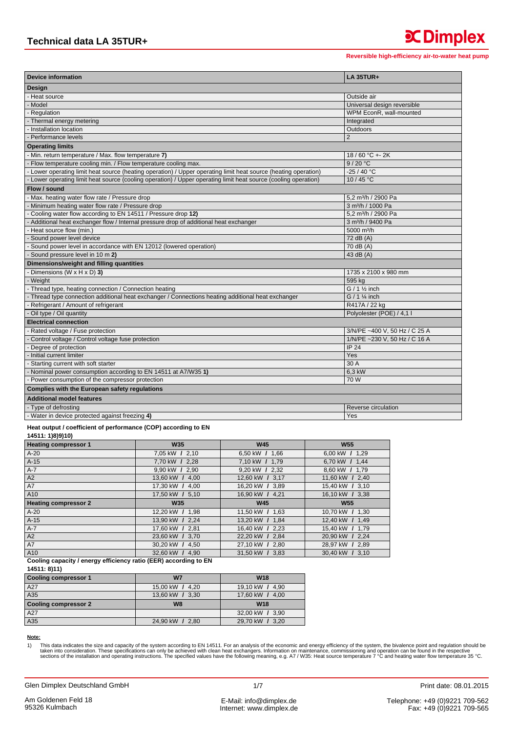| <b>Device information</b>                                                                                     | <b>LA 35TUR+</b>                |  |  |
|---------------------------------------------------------------------------------------------------------------|---------------------------------|--|--|
| Design                                                                                                        |                                 |  |  |
| - Heat source                                                                                                 | Outside air                     |  |  |
| - Model                                                                                                       | Universal design reversible     |  |  |
| - Regulation                                                                                                  | WPM EconR, wall-mounted         |  |  |
| - Thermal energy metering                                                                                     | Integrated                      |  |  |
| Installation location                                                                                         | Outdoors                        |  |  |
| - Performance levels                                                                                          | $\overline{2}$                  |  |  |
| <b>Operating limits</b>                                                                                       |                                 |  |  |
| - Min. return temperature / Max. flow temperature 7)                                                          | 18/60 °C + - 2K                 |  |  |
| Flow temperature cooling min. / Flow temperature cooling max.                                                 | 9/20 °C                         |  |  |
| Lower operating limit heat source (heating operation) / Upper operating limit heat source (heating operation) | $-25/40 °C$                     |  |  |
| Lower operating limit heat source (cooling operation) / Upper operating limit heat source (cooling operation) | 10/45 °C                        |  |  |
| Flow / sound                                                                                                  |                                 |  |  |
| - Max. heating water flow rate / Pressure drop                                                                | 5.2 m <sup>3</sup> /h / 2900 Pa |  |  |
| Minimum heating water flow rate / Pressure drop                                                               | 3 m <sup>3</sup> /h / 1000 Pa   |  |  |
| Cooling water flow according to EN 14511 / Pressure drop 12)                                                  | 5.2 m <sup>3</sup> /h / 2900 Pa |  |  |
| Additional heat exchanger flow / Internal pressure drop of additional heat exchanger                          | 3 m <sup>3</sup> /h / 9400 Pa   |  |  |
| Heat source flow (min.)                                                                                       | 5000 m <sup>3</sup> /h          |  |  |
| Sound power level device                                                                                      | 72 dB (A)                       |  |  |
| Sound power level in accordance with EN 12012 (lowered operation)                                             | 70 dB (A)                       |  |  |
| Sound pressure level in 10 m 2)                                                                               | 43 dB (A)                       |  |  |
| Dimensions/weight and filling quantities                                                                      |                                 |  |  |
| Dimensions (W $\times$ H $\times$ D) 3)                                                                       | 1735 x 2100 x 980 mm            |  |  |
| Weight                                                                                                        | 595 kg                          |  |  |
| Thread type, heating connection / Connection heating                                                          | $G / 1$ 1/ <sub>2</sub> inch    |  |  |
| Thread type connection additional heat exchanger / Connections heating additional heat exchanger              | $G / 1$ % inch                  |  |  |
| - Refrigerant / Amount of refrigerant                                                                         | R417A / 22 kg                   |  |  |
| Oil type / Oil quantity                                                                                       | Polyolester (POE) / 4,1 l       |  |  |
| <b>Electrical connection</b>                                                                                  |                                 |  |  |
| - Rated voltage / Fuse protection                                                                             | 3/N/PE ~400 V, 50 Hz / C 25 A   |  |  |
| Control voltage / Control voltage fuse protection                                                             | 1/N/PE ~230 V, 50 Hz / C 16 A   |  |  |
| - Degree of protection                                                                                        | IP <sub>24</sub>                |  |  |
| Initial current limiter                                                                                       | Yes                             |  |  |
| Starting current with soft starter                                                                            | 30 A                            |  |  |
| - Nominal power consumption according to EN 14511 at A7/W35 1)                                                | $6.3$ kW                        |  |  |
| Power consumption of the compressor protection                                                                | 70 W                            |  |  |
| <b>Complies with the European safety regulations</b>                                                          |                                 |  |  |
| <b>Additional model features</b>                                                                              |                                 |  |  |
| - Type of defrosting                                                                                          | Reverse circulation             |  |  |
| - Water in device protected against freezing 4)                                                               | Yes                             |  |  |

## Heat output / coefficient of performance (COP) according to EN

 $14511:1$ )8)9)10)

| $\cdots$<br><b>Heating compressor 1</b> | <b>W35</b>      | <b>W45</b>      | <b>W55</b>      |
|-----------------------------------------|-----------------|-----------------|-----------------|
| $A-20$                                  | 7,05 kW / 2,10  | 6.50 kW / 1.66  | 6,00 kW / 1,29  |
| $A-15$                                  | 7.70 kW / 2.28  | 7.10 kW / 1.79  | 6.70 kW / 1.44  |
| A-7                                     | 9.90 kW / 2.90  | 9,20 kW / 2,32  | 8.60 kW / 1.79  |
| A2                                      | 13.60 kW / 4.00 | 12,60 kW / 3,17 | 11,60 kW / 2,40 |
| <b>A7</b>                               | 17,30 kW / 4,00 | 16,20 kW / 3,89 | 15,40 kW / 3,10 |
| A10                                     | 17.50 kW / 5.10 | 16,90 kW / 4,21 | 16,10 kW / 3,38 |
| <b>Heating compressor 2</b>             | <b>W35</b>      | <b>W45</b>      | <b>W55</b>      |
| $A-20$                                  | 12,20 kW / 1,98 | 11,50 kW / 1,63 | 10,70 kW / 1,30 |
| $A-15$                                  | 13.90 kW / 2.24 | 13.20 kW / 1.84 | 12.40 kW / 1.49 |
| A-7                                     | 17.60 kW / 2.81 | 16,40 kW / 2,23 | 15,40 kW / 1,79 |
| A2                                      | 23.60 kW / 3.70 | 22,20 kW / 2,84 | 20.90 kW / 2.24 |
| A7                                      | 30.20 kW / 4.50 | 27,10 kW / 2,80 | 28,97 kW / 2,89 |
| A10                                     | 32.60 kW / 4.90 | 31,50 kW / 3,83 | 30,40 kW / 3,10 |

#### Cooling capacity / energy efficiency ratio (EER) according to EN  $44544.0144$

| 14911.0111                  |                 |                 |
|-----------------------------|-----------------|-----------------|
| Cooling compressor 1        | W <sub>7</sub>  | <b>W18</b>      |
| A27                         | 15,00 kW / 4,20 | 19,10 kW / 4,90 |
| A35                         | 13,60 kW / 3,30 | 17,60 kW / 4,00 |
| <b>Cooling compressor 2</b> | W <sub>8</sub>  | <b>W18</b>      |
| A27                         |                 | 32,00 kW / 3,90 |
| A35                         | 24,90 kW / 2,80 | 29,70 kW / 3,20 |

### Note:

This data indicates the size and capacity of the system according to EN 14511. For an analysis of the economic and energy efficiency of the system, the bivalence point and regulation should be<br>Taken into consideration. The 1)

Print date: 08.01.2015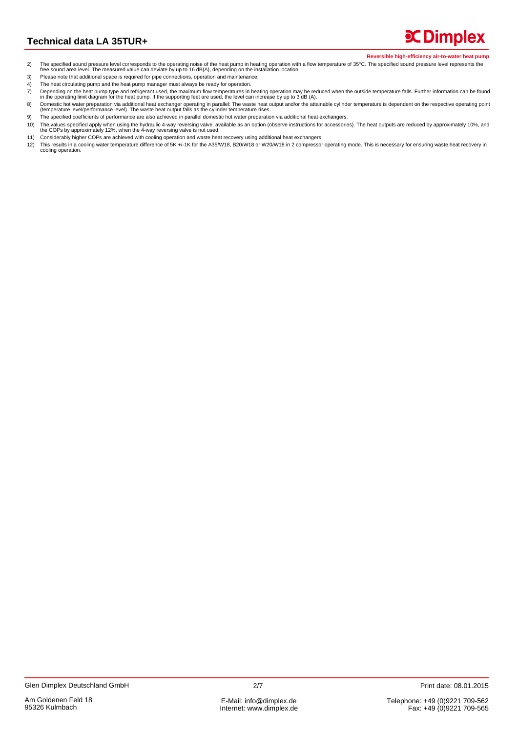**X** Dimplex

- The specified sound pressure level corresponds to the operating noise of the heat pump in heating operation with a flow temperature of 35°C. The specified sound pressure level represents the free sound area level. The meas  $2)$
- $3)$ Please note that additional space is required for pipe connections, operation and maintenance.
- $\overline{4}$ The heat circulating pump and the heat pump manager must always be ready for operation.
- The pending on the heat pump type and refrigerant used, the maximum flow temperatures in heating operation may be reduced when the outside temperature falls. Further information can be found<br>In the operating limit diagram  $\overline{7}$
- Domestic hot water preparation via additional heat exchanger operating in parallel: The waste heat output and/or the attainable cylinder temperature is dependent on the respective operating point (temperature level/perform  $8)$ The specified coefficients of performance are also achieved in parallel domestic hot water preparation via additional heat exchangers.
- 9) The values specified apply when using the hydraulic 4-way reversing valve, available as an option (observe instructions for accessories). The heat outputs are reduced by approximately 10%, and<br>the COPs by approximately 12%  $10)$
- 11) Considerably higher COPs are achieved with cooling operation and waste heat recovery using additional heat exchangers.
- This results in a cooling water temperature difference of 5K +/-1K for the A35/W18, B20/W18 or W20/W18 in 2 compressor operating mode. This is necessary for ensuring waste heat recovery in  $12)$ cooling operation.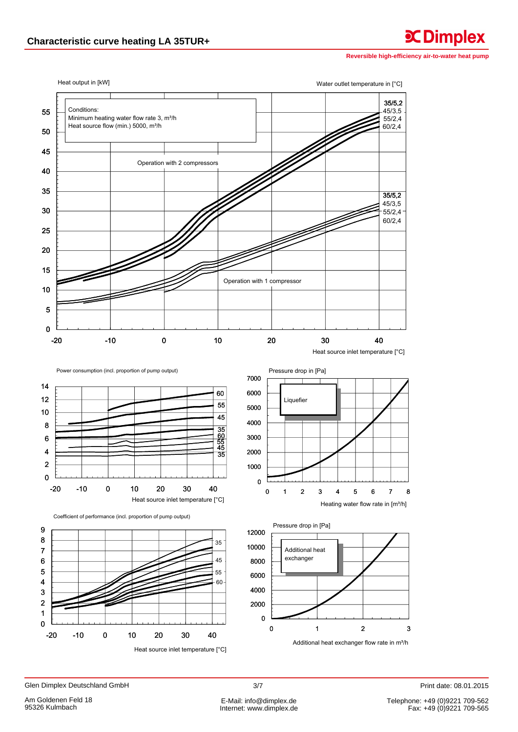**C**Dimplex



Glen Dimplex Deutschland GmbH

Telephone: +49 (0)9221 709-562<br>Fax: +49 (0)9221 709-565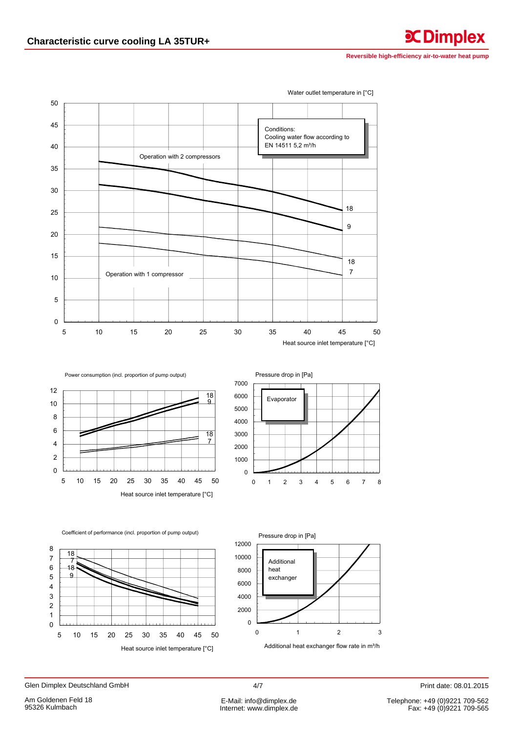**CDimplex** 

50 45 Conditions: Cooling water flow according to EN 14511 5,2 m<sup>3</sup>/h 40 Operation with 2 compressors 35 30 18 25 9  $20$ 15  $\overline{18}$  $\overline{7}$ Operation with 1 compressor  $10$  $\sqrt{5}$  $\mathbf 0$ 5  $10$ 15 20 25 30 35 40 45 50 Heat source inlet temperature [°C]

Water outlet temperature in [°C]

 $\overline{18}$  $\mathbf{q}$  $\overline{18}$  $\overline{7}$ 

Power consumption (incl. proportion of pump output)



Coefficient of performance (incl. proportion of pump output)

Heat source inlet temperature [°C]





Glen Dimplex Deutschland GmbH

 $12$ 

 $10$ 

8

 $6$ 

 $\overline{4}$ 

 $\overline{\mathbf{c}}$ 

 $\mathbf 0$ 

5

 $10$ 15 20 25 30 35 40 45 50

Print date: 08.01.2015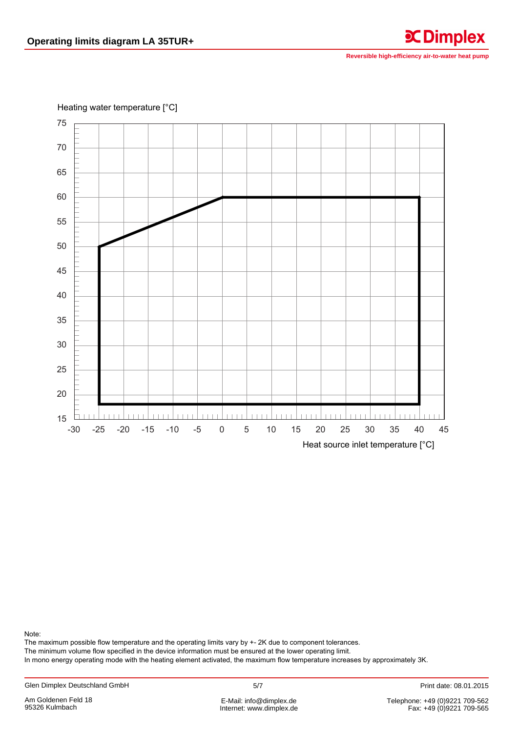**C**Dimplex



Note:

The maximum possible flow temperature and the operating limits vary by +- 2K due to component tolerances.

The minimum volume flow specified in the device information must be ensured at the lower operating limit.

In mono energy operating mode with the heating element activated, the maximum flow temperature increases by approximately 3K.

Internet: www.dimplex.de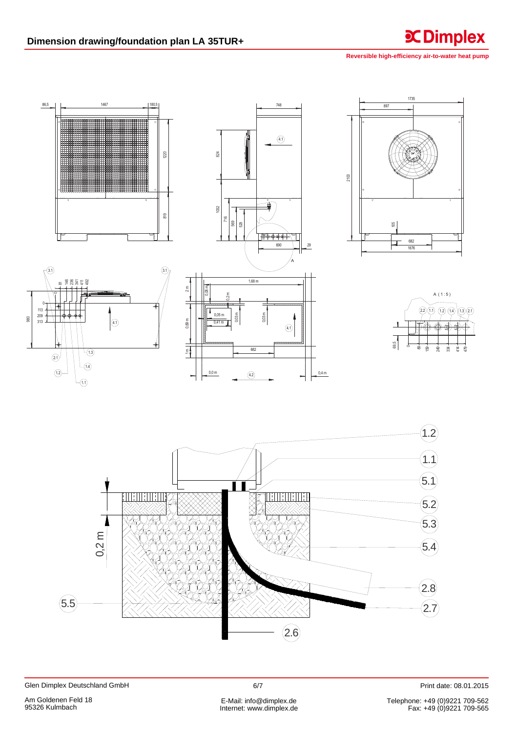**CDimplex** 



Print date: 08.01.2015